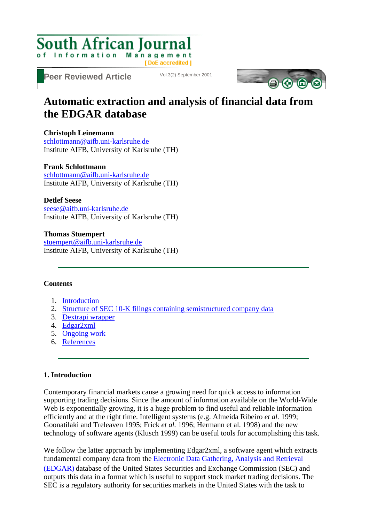# South African Journal of Information Management [DoE accredited]

Peer Reviewed Article Vol.3(2) September 2001



# **Automatic extraction and analysis of financial data from the EDGAR database**

**Christoph Leinemann** schlottmann@aifb.uni-karlsruhe.de Institute AIFB, University of Karlsruhe (TH)

#### **Frank Schlottmann**

schlottmann@aifb.uni-karlsruhe.de Institute AIFB, University of Karlsruhe (TH)

#### **Detlef Seese**

seese@aifb.uni-karlsruhe.de Institute AIFB, University of Karlsruhe (TH)

**Thomas Stuempert** stuempert@aifb.uni-karlsruhe.de Institute AIFB, University of Karlsruhe (TH)

## **Contents**

- 1. Introduction
- 2. Structure of SEC 10-K filings containing semistructured company data
- 3. Dextrapi wrapper
- 4. Edgar2xml
- 5. Ongoing work
- 6. References

## **1. Introduction**

Contemporary financial markets cause a growing need for quick access to information supporting trading decisions. Since the amount of information available on the World-Wide Web is exponentially growing, it is a huge problem to find useful and reliable information efficiently and at the right time. Intelligent systems (e.g. Almeida Ribeiro *et al.* 1999; Goonatilaki and Treleaven 1995; Frick *et al.* 1996; Hermann et al. 1998) and the new technology of software agents (Klusch 1999) can be useful tools for accomplishing this task.

We follow the latter approach by implementing Edgar2xml, a software agent which extracts fundamental company data from the Electronic Data Gathering, Analysis and Retrieval (EDGAR) database of the United States Securities and Exchange Commission (SEC) and outputs this data in a format which is useful to support stock market trading decisions. The SEC is a regulatory authority for securities markets in the United States with the task to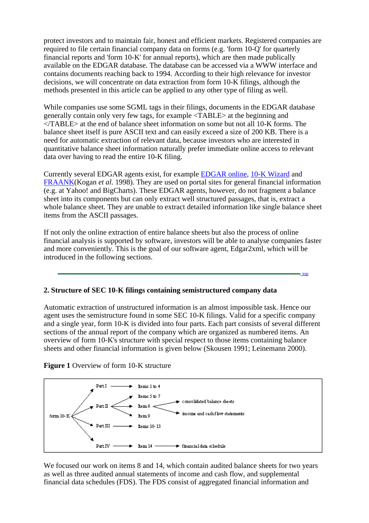protect investors and to maintain fair, honest and efficient markets. Registered companies are required to file certain financial company data on forms (e.g. 'form 10-Q' for quarterly financial reports and 'form 10-K' for annual reports), which are then made publically available on the EDGAR database. The database can be accessed via a WWW interface and contains documents reaching back to 1994. According to their high relevance for investor decisions, we will concentrate on data extraction from form 10-K filings, although the methods presented in this article can be applied to any other type of filing as well.

While companies use some SGML tags in their filings, documents in the EDGAR database generally contain only very few tags, for example <TABLE> at the beginning and </TABLE> at the end of balance sheet information on some but not all 10-K forms. The balance sheet itself is pure ASCII text and can easily exceed a size of 200 KB. There is a need for automatic extraction of relevant data, because investors who are interested in quantitative balance sheet information naturally prefer immediate online access to relevant data over having to read the entire 10-K filing.

Currently several EDGAR agents exist, for example EDGAR online, 10-K Wizard and FRAANK(Kogan *et al*. 1998). They are used on portal sites for general financial information (e.g. at Yahoo! and BigCharts). These EDGAR agents, however, do not fragment a balance sheet into its components but can only extract well structured passages, that is, extract a whole balance sheet. They are unable to extract detailed information like single balance sheet items from the ASCII passages.

If not only the online extraction of entire balance sheets but also the process of online financial analysis is supported by software, investors will be able to analyse companies faster and more conveniently. This is the goal of our software agent, Edgar2xml, which will be introduced in the following sections.

top

#### **2. Structure of SEC 10-K filings containing semistructured company data**

Automatic extraction of unstructured information is an almost impossible task. Hence our agent uses the semistructure found in some SEC 10-K filings. Valid for a specific company and a single year, form 10-K is divided into four parts. Each part consists of several different sections of the annual report of the company which are organized as numbered items. An overview of form 10-K's structure with special respect to those items containing balance sheets and other financial information is given below (Skousen 1991; Leinemann 2000).





We focused our work on items 8 and 14, which contain audited balance sheets for two years as well as three audited annual statements of income and cash flow, and supplemental financial data schedules (FDS). The FDS consist of aggregated financial information and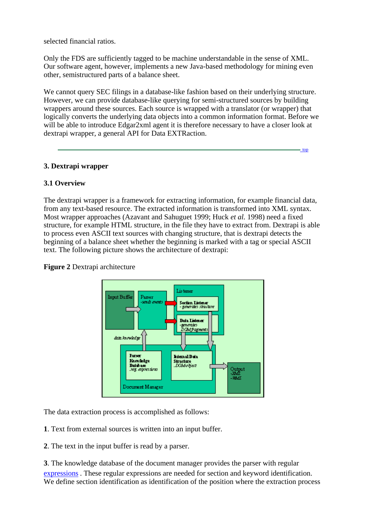selected financial ratios.

Only the FDS are sufficiently tagged to be machine understandable in the sense of XML. Our software agent, however, implements a new Java-based methodology for mining even other, semistructured parts of a balance sheet.

We cannot query SEC filings in a database-like fashion based on their underlying structure. However, we can provide database-like querying for semi-structured sources by building wrappers around these sources. Each source is wrapped with a translator (or wrapper) that logically converts the underlying data objects into a common information format. Before we will be able to introduce Edgar2xml agent it is therefore necessary to have a closer look at dextrapi wrapper, a general API for Data EXTRaction.

top

## **3. Dextrapi wrapper**

## **3.1 Overview**

The dextrapi wrapper is a framework for extracting information, for example financial data, from any text-based resource. The extracted information is transformed into XML syntax. Most wrapper approaches (Azavant and Sahuguet 1999; Huck *et al.* 1998) need a fixed structure, for example HTML structure, in the file they have to extract from. Dextrapi is able to process even ASCII text sources with changing structure, that is dextrapi detects the beginning of a balance sheet whether the beginning is marked with a tag or special ASCII text. The following picture shows the architecture of dextrapi:



**Figure 2** Dextrapi architecture

The data extraction process is accomplished as follows:

**1**. Text from external sources is written into an input buffer.

**2**. The text in the input buffer is read by a parser.

**3**. The knowledge database of the document manager provides the parser with regular expressions . These regular expressions are needed for section and keyword identification. We define section identification as identification of the position where the extraction process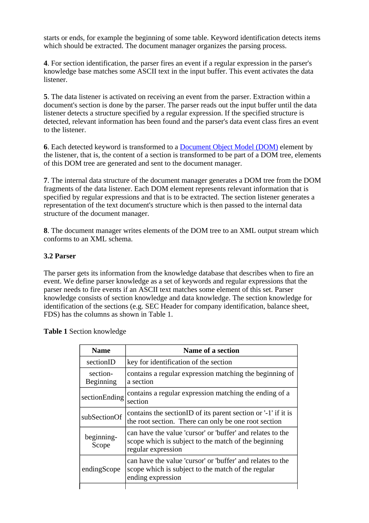starts or ends, for example the beginning of some table. Keyword identification detects items which should be extracted. The document manager organizes the parsing process.

**4**. For section identification, the parser fires an event if a regular expression in the parser's knowledge base matches some ASCII text in the input buffer. This event activates the data listener.

**5**. The data listener is activated on receiving an event from the parser. Extraction within a document's section is done by the parser. The parser reads out the input buffer until the data listener detects a structure specified by a regular expression. If the specified structure is detected, relevant information has been found and the parser's data event class fires an event to the listener.

**6**. Each detected keyword is transformed to a Document Object Model (DOM) element by the listener, that is, the content of a section is transformed to be part of a DOM tree, elements of this DOM tree are generated and sent to the document manager.

**7**. The internal data structure of the document manager generates a DOM tree from the DOM fragments of the data listener. Each DOM element represents relevant information that is specified by regular expressions and that is to be extracted. The section listener generates a representation of the text document's structure which is then passed to the internal data structure of the document manager.

**8**. The document manager writes elements of the DOM tree to an XML output stream which conforms to an XML schema.

#### **3.2 Parser**

The parser gets its information from the knowledge database that describes when to fire an event. We define parser knowledge as a set of keywords and regular expressions that the parser needs to fire events if an ASCII text matches some element of this set. Parser knowledge consists of section knowledge and data knowledge. The section knowledge for identification of the sections (e.g. SEC Header for company identification, balance sheet, FDS) has the columns as shown in Table 1.

**Table 1** Section knowledge

| <b>Name</b>           | Name of a section                                                                                                                        |
|-----------------------|------------------------------------------------------------------------------------------------------------------------------------------|
| section <sub>ID</sub> | key for identification of the section                                                                                                    |
| section-<br>Beginning | contains a regular expression matching the beginning of<br>a section                                                                     |
| sectionEnding         | contains a regular expression matching the ending of a<br>section                                                                        |
| subSectionOf          | contains the section ID of its parent section or '-1' if it is<br>the root section. There can only be one root section                   |
| beginning-<br>Scope   | can have the value 'cursor' or 'buffer' and relates to the<br>scope which is subject to the match of the beginning<br>regular expression |
| endingScope           | can have the value 'cursor' or 'buffer' and relates to the<br>scope which is subject to the match of the regular<br>ending expression    |
|                       |                                                                                                                                          |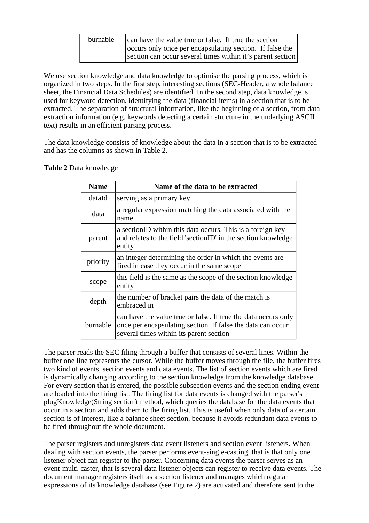| burnable | can have the value true or false. If true the section      |
|----------|------------------------------------------------------------|
|          | occurs only once per encapsulating section. If false the   |
|          | section can occur several times within it's parent section |

We use section knowledge and data knowledge to optimise the parsing process, which is organized in two steps. In the first step, interesting sections (SEC-Header, a whole balance sheet, the Financial Data Schedules) are identified. In the second step, data knowledge is used for keyword detection, identifying the data (financial items) in a section that is to be extracted. The separation of structural information, like the beginning of a section, from data extraction information (e.g. keywords detecting a certain structure in the underlying ASCII text) results in an efficient parsing process.

The data knowledge consists of knowledge about the data in a section that is to be extracted and has the columns as shown in Table 2.

| <b>Name</b> | Name of the data to be extracted                                                                                                                                         |
|-------------|--------------------------------------------------------------------------------------------------------------------------------------------------------------------------|
| dataId      | serving as a primary key                                                                                                                                                 |
| data        | a regular expression matching the data associated with the<br>name                                                                                                       |
| parent      | a sectionID within this data occurs. This is a foreign key<br>and relates to the field 'sectionID' in the section knowledge<br>entity                                    |
| priority    | an integer determining the order in which the events are<br>fired in case they occur in the same scope                                                                   |
| scope       | this field is the same as the scope of the section knowledge<br>entity                                                                                                   |
| depth       | the number of bracket pairs the data of the match is<br>embraced in                                                                                                      |
| burnable    | can have the value true or false. If true the data occurs only<br>once per encapsulating section. If false the data can occur<br>several times within its parent section |

**Table 2** Data knowledge

The parser reads the SEC filing through a buffer that consists of several lines. Within the buffer one line represents the cursor. While the buffer moves through the file, the buffer fires two kind of events, section events and data events. The list of section events which are fired is dynamically changing according to the section knowledge from the knowledge database. For every section that is entered, the possible subsection events and the section ending event are loaded into the firing list. The firing list for data events is changed with the parser's plugKnowledge(String section) method, which queries the database for the data events that occur in a section and adds them to the firing list. This is useful when only data of a certain section is of interest, like a balance sheet section, because it avoids redundant data events to be fired throughout the whole document.

The parser registers and unregisters data event listeners and section event listeners. When dealing with section events, the parser performs event-single-casting, that is that only one listener object can register to the parser. Concerning data events the parser serves as an event-multi-caster, that is several data listener objects can register to receive data events. The document manager registers itself as a section listener and manages which regular expressions of its knowledge database (see Figure 2) are activated and therefore sent to the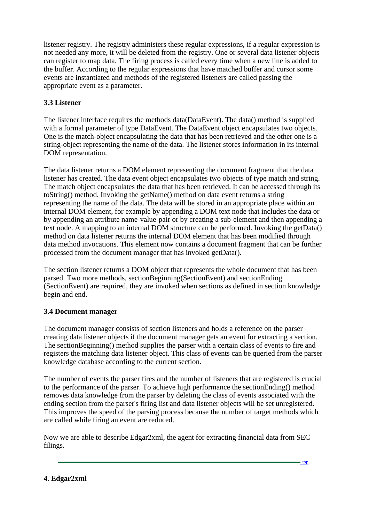listener registry. The registry administers these regular expressions, if a regular expression is not needed any more, it will be deleted from the registry. One or several data listener objects can register to map data. The firing process is called every time when a new line is added to the buffer. According to the regular expressions that have matched buffer and cursor some events are instantiated and methods of the registered listeners are called passing the appropriate event as a parameter.

## **3.3 Listener**

The listener interface requires the methods data(DataEvent). The data() method is supplied with a formal parameter of type DataEvent. The DataEvent object encapsulates two objects. One is the match-object encapsulating the data that has been retrieved and the other one is a string-object representing the name of the data. The listener stores information in its internal DOM representation.

The data listener returns a DOM element representing the document fragment that the data listener has created. The data event object encapsulates two objects of type match and string. The match object encapsulates the data that has been retrieved. It can be accessed through its toString() method. Invoking the getName() method on data event returns a string representing the name of the data. The data will be stored in an appropriate place within an internal DOM element, for example by appending a DOM text node that includes the data or by appending an attribute name-value-pair or by creating a sub-element and then appending a text node. A mapping to an internal DOM structure can be performed. Invoking the getData() method on data listener returns the internal DOM element that has been modified through data method invocations. This element now contains a document fragment that can be further processed from the document manager that has invoked getData().

The section listener returns a DOM object that represents the whole document that has been parsed. Two more methods, sectionBeginning(SectionEvent) and sectionEnding (SectionEvent) are required, they are invoked when sections as defined in section knowledge begin and end.

## **3.4 Document manager**

The document manager consists of section listeners and holds a reference on the parser creating data listener objects if the document manager gets an event for extracting a section. The sectionBeginning() method supplies the parser with a certain class of events to fire and registers the matching data listener object. This class of events can be queried from the parser knowledge database according to the current section.

The number of events the parser fires and the number of listeners that are registered is crucial to the performance of the parser. To achieve high performance the sectionEnding() method removes data knowledge from the parser by deleting the class of events associated with the ending section from the parser's firing list and data listener objects will be set unregistered. This improves the speed of the parsing process because the number of target methods which are called while firing an event are reduced.

Now we are able to describe Edgar2xml, the agent for extracting financial data from SEC filings.

 $=$ top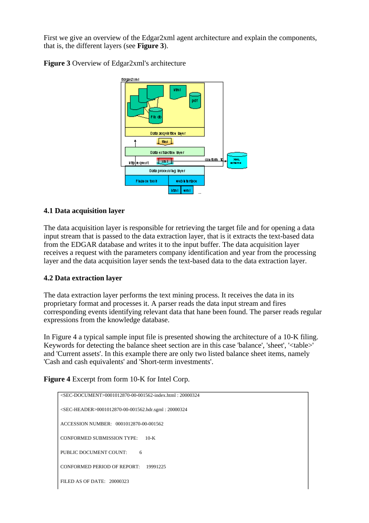First we give an overview of the Edgar2xml agent architecture and explain the components, that is, the different layers (see **Figure 3**).

**Figure 3** Overview of Edgar2xml's architecture



## **4.1 Data acquisition layer**

The data acquisition layer is responsible for retrieving the target file and for opening a data input stream that is passed to the data extraction layer, that is it extracts the text-based data from the EDGAR database and writes it to the input buffer. The data acquisition layer receives a request with the parameters company identification and year from the processing layer and the data acquisition layer sends the text-based data to the data extraction layer.

## **4.2 Data extraction layer**

The data extraction layer performs the text mining process. It receives the data in its proprietary format and processes it. A parser reads the data input stream and fires corresponding events identifying relevant data that hane been found. The parser reads regular expressions from the knowledge database.

In Figure 4 a typical sample input file is presented showing the architecture of a 10-K filing. Keywords for detecting the balance sheet section are in this case 'balance', 'sheet', '<table>' and 'Current assets'. In this example there are only two listed balance sheet items, namely 'Cash and cash equivalents' and 'Short-term investments'.

**Figure 4** Excerpt from form 10-K for Intel Corp.

```
<SEC-DOCUMENT>0001012870-00-001562-index.html : 20000324 
<SEC-HEADER>0001012870-00-001562.hdr.sgml : 20000324 
ACCESSION NUMBER: 0001012870-00-001562 
CONFORMED SUBMISSION TYPE: 10-K 
PUBLIC DOCUMENT COUNT: 6
CONFORMED PERIOD OF REPORT: 19991225 
FILED AS OF DATE: 20000323
```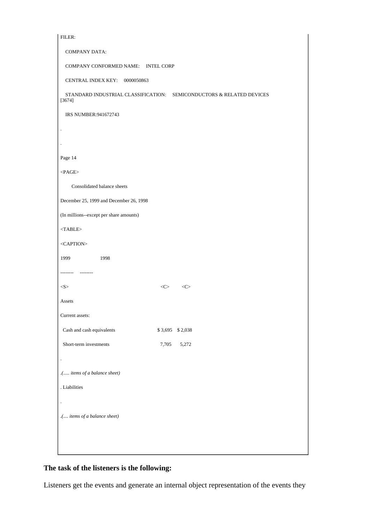| FILER:                                                                            |  |  |  |  |
|-----------------------------------------------------------------------------------|--|--|--|--|
| <b>COMPANY DATA:</b>                                                              |  |  |  |  |
| COMPANY CONFORMED NAME: INTEL CORP                                                |  |  |  |  |
| CENTRAL INDEX KEY: 0000050863                                                     |  |  |  |  |
| STANDARD INDUSTRIAL CLASSIFICATION:<br>SEMICONDUCTORS & RELATED DEVICES<br>[3674] |  |  |  |  |
| IRS NUMBER: 941672743                                                             |  |  |  |  |
| $\cdot$                                                                           |  |  |  |  |
|                                                                                   |  |  |  |  |
| Page 14                                                                           |  |  |  |  |
| $<$ PAGE>                                                                         |  |  |  |  |
| Consolidated balance sheets                                                       |  |  |  |  |
| December 25, 1999 and December 26, 1998                                           |  |  |  |  |
| (In millions--except per share amounts)                                           |  |  |  |  |
| $<$ TABLE>                                                                        |  |  |  |  |
| <caption></caption>                                                               |  |  |  |  |
| 1999<br>1998                                                                      |  |  |  |  |
| --------<br>---------                                                             |  |  |  |  |
| $<\!\!S\!\!>$<br>$\langle C \rangle$ $\langle C \rangle$                          |  |  |  |  |
| Assets                                                                            |  |  |  |  |
| Current assets:                                                                   |  |  |  |  |
| Cash and cash equivalents<br>\$3,695<br>\$2,038                                   |  |  |  |  |
| Short-term investments<br>7,705<br>5,272                                          |  |  |  |  |
| $\cdot$                                                                           |  |  |  |  |
| .( items of a balance sheet)                                                      |  |  |  |  |
| . Liabilities                                                                     |  |  |  |  |
| $\ddot{\phantom{0}}$                                                              |  |  |  |  |
| .( items of a balance sheet)                                                      |  |  |  |  |
|                                                                                   |  |  |  |  |
|                                                                                   |  |  |  |  |
|                                                                                   |  |  |  |  |

## **The task of the listeners is the following:**

Listeners get the events and generate an internal object representation of the events they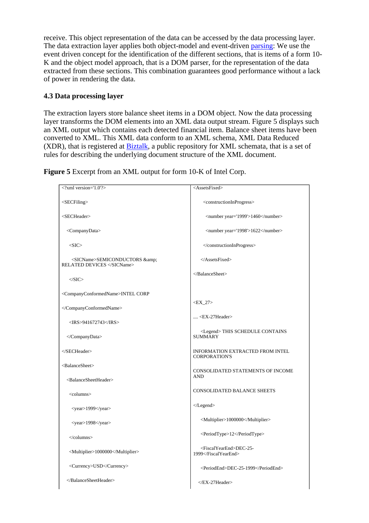receive. This object representation of the data can be accessed by the data processing layer. The data extraction layer applies both object-model and event-driven parsing: We use the event driven concept for the identification of the different sections, that is items of a form 10- K and the object model approach, that is a DOM parser, for the representation of the data extracted from these sections. This combination guarantees good performance without a lack of power in rendering the data.

## **4.3 Data processing layer**

The extraction layers store balance sheet items in a DOM object. Now the data processing layer transforms the DOM elements into an XML data output stream. Figure 5 displays such an XML output which contains each detected financial item. Balance sheet items have been converted to XML. This XML data conform to an XML schema, XML Data Reduced (XDR), that is registered at Biztalk, a public repository for XML schemata, that is a set of rules for describing the underlying document structure of the XML document.

<?xml version='1.0'?> <SECFiling> <SECHeader> <CompanyData>  $<$ SIC $>$ <SICName>SEMICONDUCTORS &amp; RELATED DEVICES </SICName>  $\langle$ SIC $>$ <CompanyConformedName>INTEL CORP </CompanyConformedName> <IRS>941672743</IRS> </CompanyData> </SECHeader> <BalanceSheet> <BalanceSheetHeader> <columns> <year>1999</year> <year>1998</year> </columns> <Multiplier>1000000</Multiplier> <Currency>USD</Currency> </BalanceSheetHeader> <AssetsFixed> <constructionInProgress> <number year='1999'>1460</number> <number year='1998'>1622</number> </constructionInProgress> </AssetsFixed> </BalanceSheet>  $\langle$ EX 27> .... <EX-27Header> <Legend> THIS SCHEDULE CONTAINS **SUMMARY** INFORMATION EXTRACTED FROM INTEL CORPORATION'S CONSOLIDATED STATEMENTS OF INCOME AND CONSOLIDATED BALANCE SHEETS </Legend> <Multiplier>1000000</Multiplier> <PeriodType>12</PeriodType> <FiscalYearEnd>DEC-25- 1999</FiscalYearEnd> <PeriodEnd>DEC-25-1999</PeriodEnd> </EX-27Header>

**Figure 5** Excerpt from an XML output for form 10-K of Intel Corp.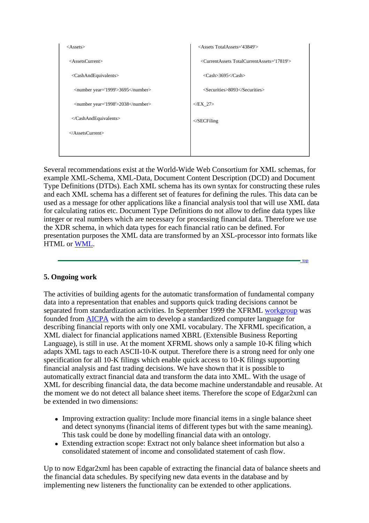

Several recommendations exist at the World-Wide Web Consortium for XML schemas, for example XML-Schema, XML-Data, Document Content Description (DCD) and Document Type Definitions (DTDs). Each XML schema has its own syntax for constructing these rules and each XML schema has a different set of features for defining the rules. This data can be used as a message for other applications like a financial analysis tool that will use XML data for calculating ratios etc. Document Type Definitions do not allow to define data types like integer or real numbers which are necessary for processing financial data. Therefore we use the XDR schema, in which data types for each financial ratio can be defined. For presentation purposes the XML data are transformed by an XSL-processor into formats like HTML or WML.

 $=$  top

#### **5. Ongoing work**

The activities of building agents for the automatic transformation of fundamental company data into a representation that enables and supports quick trading decisions cannot be separated from standardization activities. In September 1999 the XFRML workgroup was founded from AICPA with the aim to develop a standardized computer language for describing financial reports with only one XML vocabulary. The XFRML specification, a XML dialect for financial applications named XBRL (Extensible Business Reporting Language), is still in use. At the moment XFRML shows only a sample 10-K filing which adapts XML tags to each ASCII-10-K output. Therefore there is a strong need for only one specification for all 10-K filings which enable quick access to 10-K filings supporting financial analysis and fast trading decisions. We have shown that it is possible to automatically extract financial data and transform the data into XML. With the usage of XML for describing financial data, the data become machine understandable and reusable. At the moment we do not detect all balance sheet items. Therefore the scope of Edgar2xml can be extended in two dimensions:

- Improving extraction quality: Include more financial items in a single balance sheet and detect synonyms (financial items of different types but with the same meaning). This task could be done by modelling financial data with an ontology.
- Extending extraction scope: Extract not only balance sheet information but also a consolidated statement of income and consolidated statement of cash flow.

Up to now Edgar2xml has been capable of extracting the financial data of balance sheets and the financial data schedules. By specifying new data events in the database and by implementing new listeners the functionality can be extended to other applications.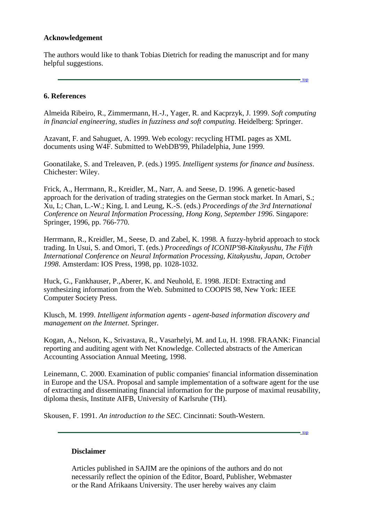#### **Acknowledgement**

The authors would like to thank Tobias Dietrich for reading the manuscript and for many helpful suggestions.

 $=$ top

 $\overline{\text{top}}$ 

#### **6. References**

Almeida Ribeiro, R., Zimmermann, H.-J., Yager, R. and Kacprzyk, J. 1999. *Soft computing in financial engineering, studies in fuzziness and soft computing.* Heidelberg: Springer.

Azavant, F. and Sahuguet, A. 1999. Web ecology: recycling HTML pages as XML documents using W4F. Submitted to WebDB'99, Philadelphia, June 1999.

Goonatilake, S. and Treleaven, P. (eds.) 1995. *Intelligent systems for finance and business*. Chichester: Wiley.

Frick, A., Herrmann, R., Kreidler, M., Narr, A. and Seese, D. 1996. A genetic-based approach for the derivation of trading strategies on the German stock market. In Amari, S.; Xu, L; Chan, L.-W.; King, I. and Leung, K.-S. (eds.) *Proceedings of the 3rd International Conference on Neural Information Processing, Hong Kong, September 1996*. Singapore: Springer, 1996, pp. 766-770.

Herrmann, R., Kreidler, M., Seese, D. and Zabel, K. 1998. A fuzzy-hybrid approach to stock trading. In Usui, S. and Omori, T. (eds.) *Proceedings of ICONIP'98-Kitakyushu, The Fifth International Conference on Neural Information Processing, Kitakyushu, Japan, October 1998*. Amsterdam: IOS Press, 1998, pp. 1028-1032.

Huck, G., Fankhauser, P.,Aberer, K. and Neuhold, E. 1998. JEDI: Extracting and synthesizing information from the Web. Submitted to COOPIS 98, New York: IEEE Computer Society Press.

Klusch, M. 1999. *Intelligent information agents - agent-based information discovery and management on the Internet*. Springer.

Kogan, A., Nelson, K., Srivastava, R., Vasarhelyi, M. and Lu, H. 1998. FRAANK: Financial reporting and auditing agent with Net Knowledge. Collected abstracts of the American Accounting Association Annual Meeting, 1998.

Leinemann, C. 2000. Examination of public companies' financial information dissemination in Europe and the USA. Proposal and sample implementation of a software agent for the use of extracting and disseminating financial information for the purpose of maximal reusability, diploma thesis, Institute AIFB, University of Karlsruhe (TH).

Skousen, F. 1991. *An introduction to the SEC*. Cincinnati: South-Western.

#### **Disclaimer**

Articles published in SAJIM are the opinions of the authors and do not necessarily reflect the opinion of the Editor, Board, Publisher, Webmaster or the Rand Afrikaans University. The user hereby waives any claim